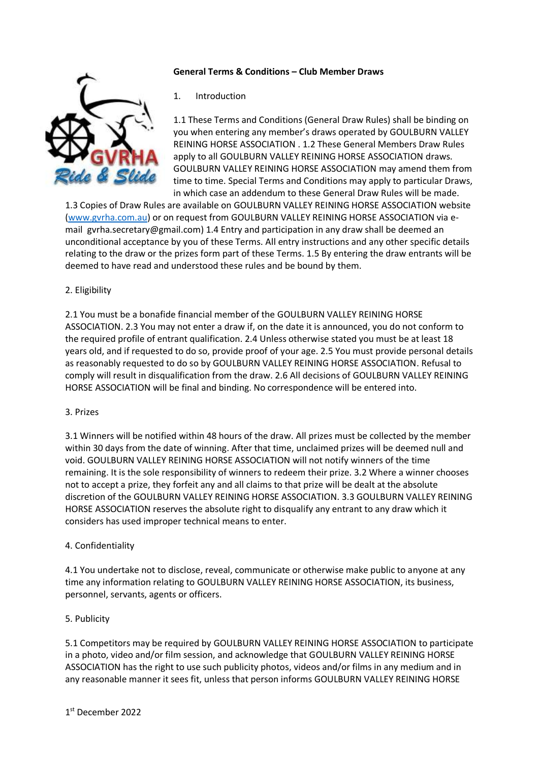### **General Terms & Conditions – Club Member Draws**



#### 1. Introduction

1.1 These Terms and Conditions (General Draw Rules) shall be binding on you when entering any member's draws operated by GOULBURN VALLEY REINING HORSE ASSOCIATION . 1.2 These General Members Draw Rules apply to all GOULBURN VALLEY REINING HORSE ASSOCIATION draws. GOULBURN VALLEY REINING HORSE ASSOCIATION may amend them from time to time. Special Terms and Conditions may apply to particular Draws, in which case an addendum to these General Draw Rules will be made.

1.3 Copies of Draw Rules are available on GOULBURN VALLEY REINING HORSE ASSOCIATION website [\(www.gvrha.com.](http://www.gvrha.com/)au) or on request from GOULBURN VALLEY REINING HORSE ASSOCIATION via email gvrha.secretary@gmail.com) 1.4 Entry and participation in any draw shall be deemed an unconditional acceptance by you of these Terms. All entry instructions and any other specific details relating to the draw or the prizes form part of these Terms. 1.5 By entering the draw entrants will be deemed to have read and understood these rules and be bound by them.

## 2. Eligibility

2.1 You must be a bonafide financial member of the GOULBURN VALLEY REINING HORSE ASSOCIATION. 2.3 You may not enter a draw if, on the date it is announced, you do not conform to the required profile of entrant qualification. 2.4 Unless otherwise stated you must be at least 18 years old, and if requested to do so, provide proof of your age. 2.5 You must provide personal details as reasonably requested to do so by GOULBURN VALLEY REINING HORSE ASSOCIATION. Refusal to comply will result in disqualification from the draw. 2.6 All decisions of GOULBURN VALLEY REINING HORSE ASSOCIATION will be final and binding. No correspondence will be entered into.

#### 3. Prizes

3.1 Winners will be notified within 48 hours of the draw. All prizes must be collected by the member within 30 days from the date of winning. After that time, unclaimed prizes will be deemed null and void. GOULBURN VALLEY REINING HORSE ASSOCIATION will not notify winners of the time remaining. It is the sole responsibility of winners to redeem their prize. 3.2 Where a winner chooses not to accept a prize, they forfeit any and all claims to that prize will be dealt at the absolute discretion of the GOULBURN VALLEY REINING HORSE ASSOCIATION. 3.3 GOULBURN VALLEY REINING HORSE ASSOCIATION reserves the absolute right to disqualify any entrant to any draw which it considers has used improper technical means to enter.

#### 4. Confidentiality

4.1 You undertake not to disclose, reveal, communicate or otherwise make public to anyone at any time any information relating to GOULBURN VALLEY REINING HORSE ASSOCIATION, its business, personnel, servants, agents or officers.

#### 5. Publicity

5.1 Competitors may be required by GOULBURN VALLEY REINING HORSE ASSOCIATION to participate in a photo, video and/or film session, and acknowledge that GOULBURN VALLEY REINING HORSE ASSOCIATION has the right to use such publicity photos, videos and/or films in any medium and in any reasonable manner it sees fit, unless that person informs GOULBURN VALLEY REINING HORSE